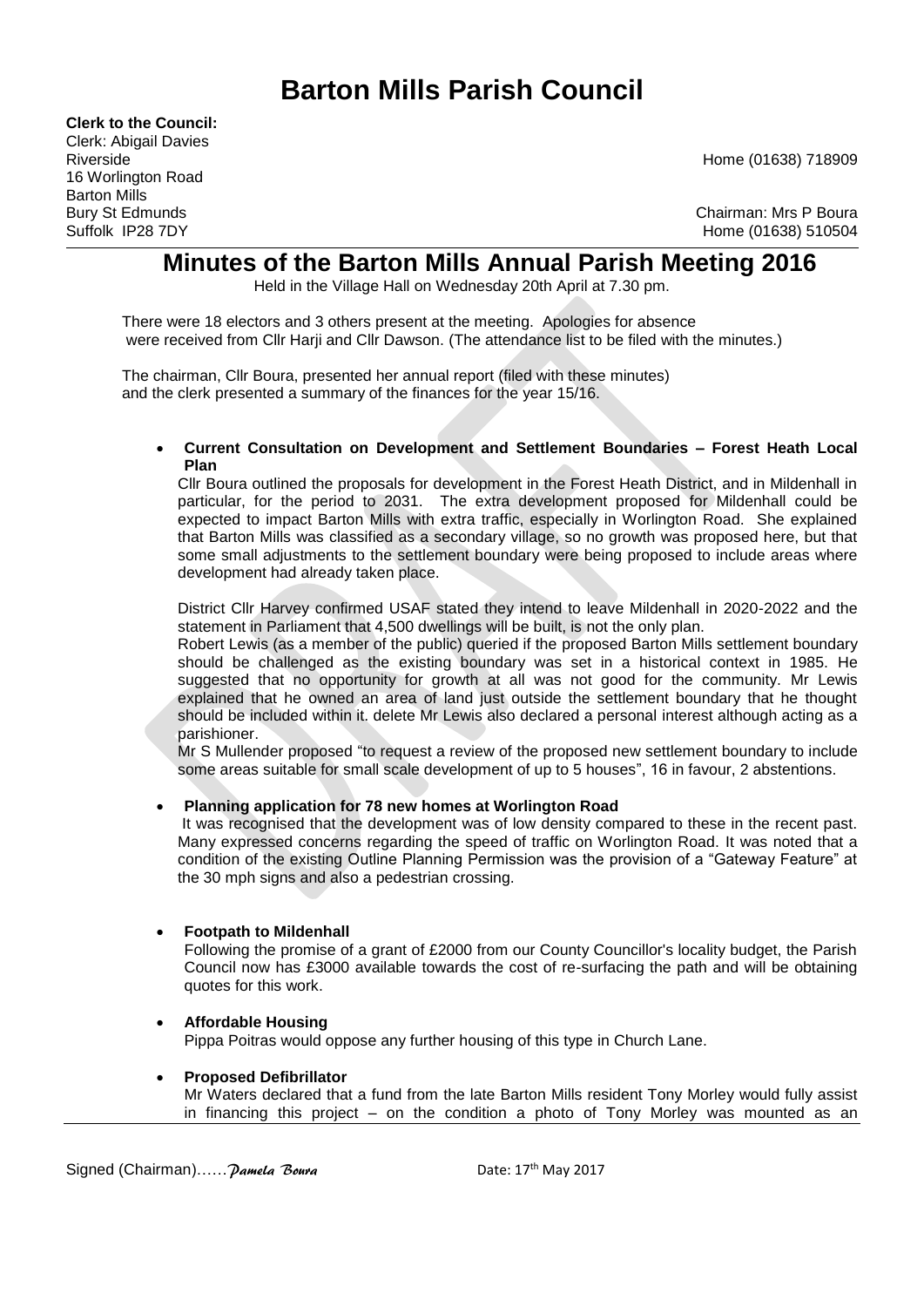# **Barton Mills Parish Council**

**Clerk to the Council:** Clerk: Abigail Davies Riverside Home (01638) 718909 16 Worlington Road Barton Mills

Bury St Edmunds<br>
Suffolk IP28 7DY Chairman: Mrs P Boura<br>
Suffolk IP28 7DY Home (01638) 510504

## **Minutes of the Barton Mills Annual Parish Meeting 2016**

Held in the Village Hall on Wednesday 20th April at 7.30 pm.

There were 18 electors and 3 others present at the meeting. Apologies for absence were received from Cllr Harji and Cllr Dawson. (The attendance list to be filed with the minutes.)

The chairman, Cllr Boura, presented her annual report (filed with these minutes) and the clerk presented a summary of the finances for the year 15/16.

#### **Current Consultation on Development and Settlement Boundaries – Forest Heath Local Plan**

Cllr Boura outlined the proposals for development in the Forest Heath District, and in Mildenhall in particular, for the period to 2031. The extra development proposed for Mildenhall could be expected to impact Barton Mills with extra traffic, especially in Worlington Road. She explained that Barton Mills was classified as a secondary village, so no growth was proposed here, but that some small adjustments to the settlement boundary were being proposed to include areas where development had already taken place.

District Cllr Harvey confirmed USAF stated they intend to leave Mildenhall in 2020-2022 and the statement in Parliament that 4,500 dwellings will be built, is not the only plan.

Robert Lewis (as a member of the public) queried if the proposed Barton Mills settlement boundary should be challenged as the existing boundary was set in a historical context in 1985. He suggested that no opportunity for growth at all was not good for the community. Mr Lewis explained that he owned an area of land just outside the settlement boundary that he thought should be included within it. delete Mr Lewis also declared a personal interest although acting as a parishioner.

Mr S Mullender proposed "to request a review of the proposed new settlement boundary to include some areas suitable for small scale development of up to 5 houses", 16 in favour, 2 abstentions.

### **Planning application for 78 new homes at Worlington Road**

It was recognised that the development was of low density compared to these in the recent past. Many expressed concerns regarding the speed of traffic on Worlington Road. It was noted that a condition of the existing Outline Planning Permission was the provision of a "Gateway Feature" at the 30 mph signs and also a pedestrian crossing.

#### **Footpath to Mildenhall**

Following the promise of a grant of £2000 from our County Councillor's locality budget, the Parish Council now has £3000 available towards the cost of re-surfacing the path and will be obtaining quotes for this work.

#### **Affordable Housing**

Pippa Poitras would oppose any further housing of this type in Church Lane.

#### **Proposed Defibrillator**

Mr Waters declared that a fund from the late Barton Mills resident Tony Morley would fully assist in financing this project – on the condition a photo of Tony Morley was mounted as an